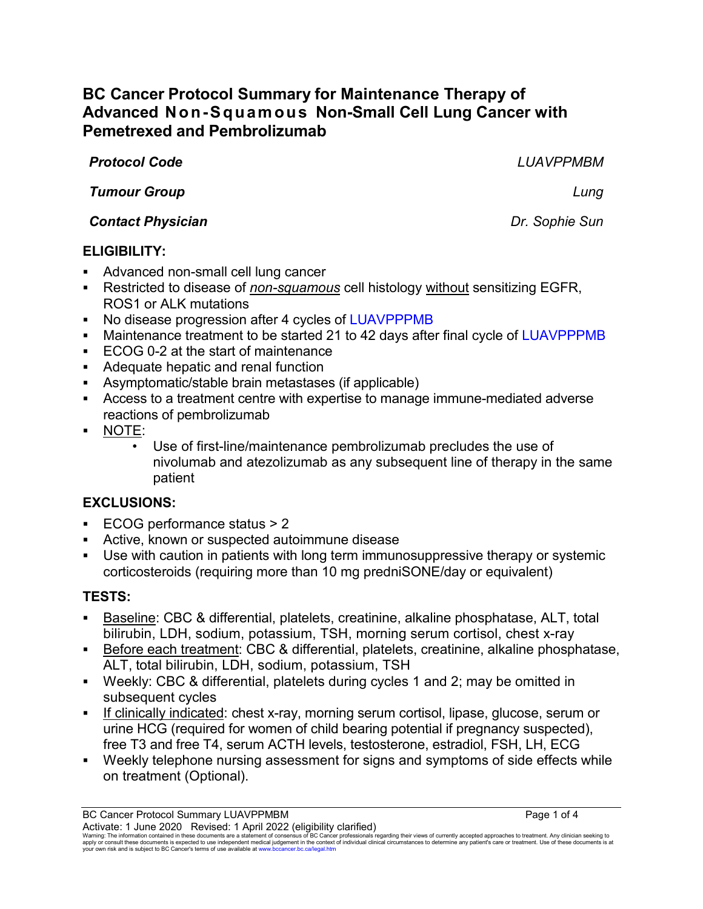# **BC Cancer Protocol Summary for Maintenance Therapy of Advanced Non-Squamous Non-Small Cell Lung Cancer with Pemetrexed and Pembrolizumab**

*Protocol Code LUAVPPMBM*

*Tumour Group Lung*

### *Contact Physician Dr. Sophie Sun*

## **ELIGIBILITY:**

- Advanced non-small cell lung cancer
- Restricted to disease of *non-squamous* cell histology without sensitizing EGFR, ROS1 or ALK mutations
- No disease progression after 4 cycles of LUAVPPPMB
- Maintenance treatment to be started 21 to 42 days after final cycle of LUAVPPPMB
- ECOG 0-2 at the start of maintenance
- Adequate hepatic and renal function
- Asymptomatic/stable brain metastases (if applicable)
- Access to a treatment centre with expertise to manage immune-mediated adverse reactions of pembrolizumab
- NOTE:
	- Use of first-line/maintenance pembrolizumab precludes the use of nivolumab and atezolizumab as any subsequent line of therapy in the same patient

## **EXCLUSIONS:**

- ECOG performance status > 2
- Active, known or suspected autoimmune disease
- Use with caution in patients with long term immunosuppressive therapy or systemic corticosteroids (requiring more than 10 mg predniSONE/day or equivalent)

## **TESTS:**

- Baseline: CBC & differential, platelets, creatinine, alkaline phosphatase, ALT, total bilirubin, LDH, sodium, potassium, TSH, morning serum cortisol, chest x-ray
- **Before each treatment: CBC & differential, platelets, creatinine, alkaline phosphatase,** ALT, total bilirubin, LDH, sodium, potassium, TSH
- Weekly: CBC & differential, platelets during cycles 1 and 2; may be omitted in subsequent cycles
- If clinically indicated: chest x-ray, morning serum cortisol, lipase, glucose, serum or urine HCG (required for women of child bearing potential if pregnancy suspected), free T3 and free T4, serum ACTH levels, testosterone, estradiol, FSH, LH, ECG
- Weekly telephone nursing assessment for signs and symptoms of side effects while on treatment (Optional).

Activate: 1 June 2020 Revised: 1 April 2022 (eligibility clarified) Warning: The information contained in these documents are a statement of consensus of BC Cancer professionals regarding their views of currently accepted approaches to treatment. Any clinician seeking to<br>apply or consult t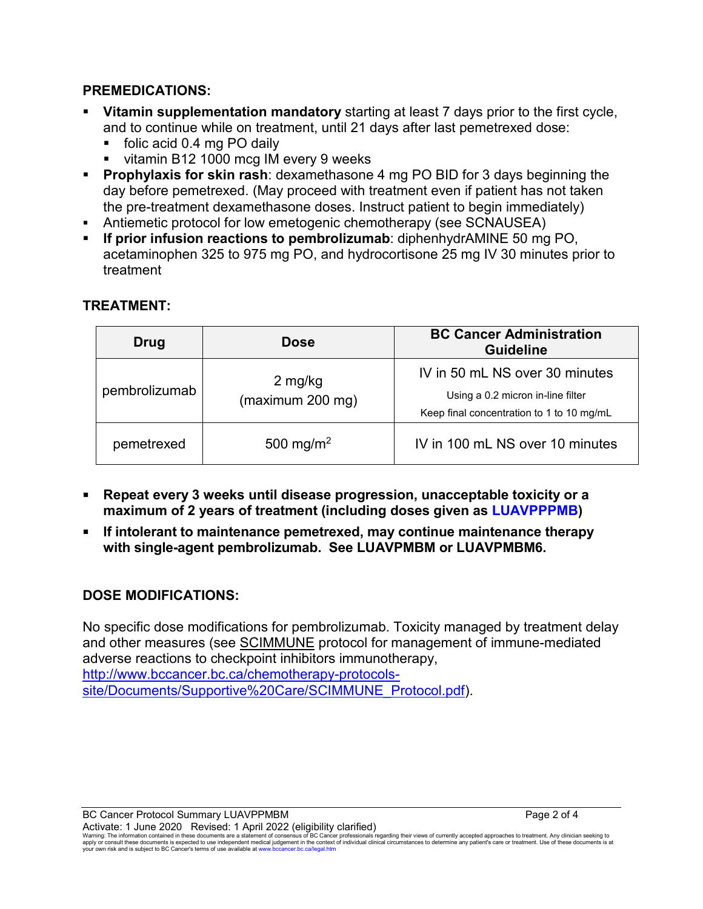#### **PREMEDICATIONS:**

- **Vitamin supplementation mandatory** starting at least 7 days prior to the first cycle, and to continue while on treatment, until 21 days after last pemetrexed dose:
	- folic acid 0.4 mg PO daily
	- vitamin B12 1000 mcg IM every 9 weeks
- **Prophylaxis for skin rash**: dexamethasone 4 mg PO BID for 3 days beginning the day before pemetrexed. (May proceed with treatment even if patient has not taken the pre-treatment dexamethasone doses. Instruct patient to begin immediately)
- Antiemetic protocol for low emetogenic chemotherapy (see SCNAUSEA)
- **If prior infusion reactions to pembrolizumab**: diphenhydrAMINE 50 mg PO, acetaminophen 325 to 975 mg PO, and hydrocortisone 25 mg IV 30 minutes prior to treatment

| Drug          | <b>Dose</b>                 | <b>BC Cancer Administration</b><br><b>Guideline</b>                                                              |
|---------------|-----------------------------|------------------------------------------------------------------------------------------------------------------|
| pembrolizumab | 2 mg/kg<br>(maximum 200 mg) | IV in 50 mL NS over 30 minutes<br>Using a 0.2 micron in-line filter<br>Keep final concentration to 1 to 10 mg/mL |
| pemetrexed    | 500 mg/m <sup>2</sup>       | IV in 100 mL NS over 10 minutes                                                                                  |

#### **TREATMENT:**

- **Repeat every 3 weeks until disease progression, unacceptable toxicity or a maximum of 2 years of treatment (including doses given as LUAVPPPMB)**
- **If intolerant to maintenance pemetrexed, may continue maintenance therapy with single-agent pembrolizumab. See LUAVPMBM or LUAVPMBM6.**

### **DOSE MODIFICATIONS:**

No specific dose modifications for pembrolizumab. Toxicity managed by treatment delay and other measures (see [SCIMMUNE](http://www.bccancer.bc.ca/chemotherapy-protocols-site/Documents/Supportive%20Care/SCIMMUNE_Protocol.pdf) protocol for management of immune-mediated adverse reactions to checkpoint inhibitors immunotherapy, [http://www.bccancer.bc.ca/chemotherapy-protocols](http://www.bccancer.bc.ca/chemotherapy-protocols-site/Documents/Supportive%20Care/SCIMMUNE_Protocol.pdf)[site/Documents/Supportive%20Care/SCIMMUNE\\_Protocol.pdf\)](http://www.bccancer.bc.ca/chemotherapy-protocols-site/Documents/Supportive%20Care/SCIMMUNE_Protocol.pdf).

BC Cancer Protocol Summary LUAVPPMBM **Page 2 of 4** Page 2 of 4 Activate: 1 June 2020 Revised: 1 April 2022 (eligibility clarified)

Warning: The information contained in these documents are a statement of consensus of BC Cancer professionals regarding their views of currently accepted approaches to treatment. Any clinician seeking to<br>apply or consult t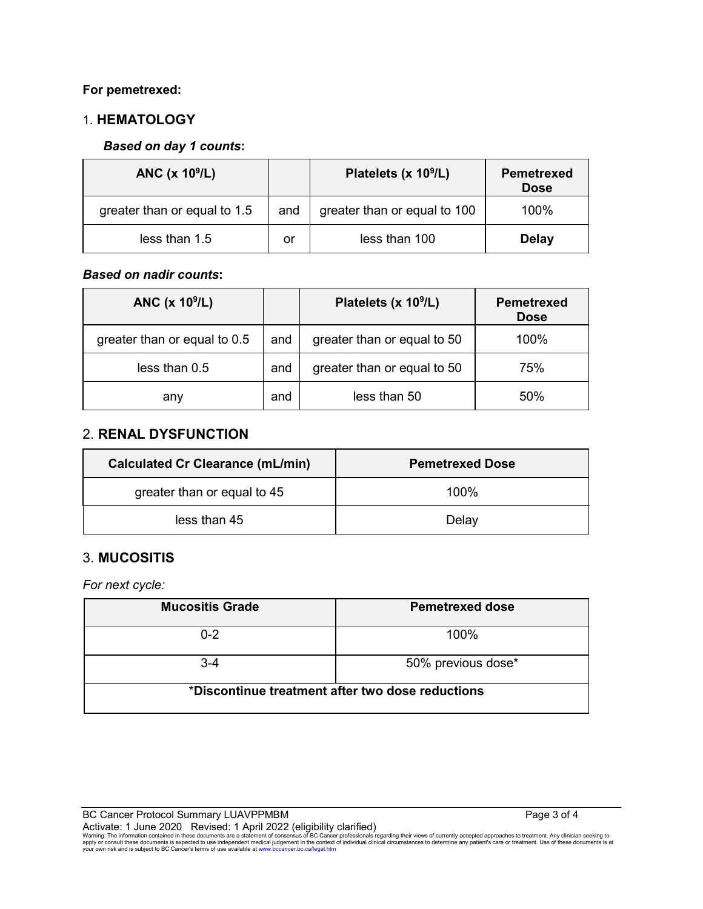#### **For pemetrexed:**

### 1. **HEMATOLOGY**

#### *Based on day 1 counts***:**

| ANC $(x 109/L)$              |     | Platelets (x $10^9$ /L)      | <b>Pemetrexed</b><br><b>Dose</b> |
|------------------------------|-----|------------------------------|----------------------------------|
| greater than or equal to 1.5 | and | greater than or equal to 100 | $100\%$                          |
| less than 1.5                | or  | less than 100                | <b>Delay</b>                     |

#### *Based on nadir counts***:**

| ANC $(x 10^9/L)$             |     | Platelets (x 10 <sup>9</sup> /L) | <b>Pemetrexed</b><br><b>Dose</b> |
|------------------------------|-----|----------------------------------|----------------------------------|
| greater than or equal to 0.5 | and | greater than or equal to 50      | 100%                             |
| less than 0.5                | and | greater than or equal to 50      | 75%                              |
| and<br>any                   |     | less than 50                     | 50%                              |

#### 2. **RENAL DYSFUNCTION**

| <b>Calculated Cr Clearance (mL/min)</b> | <b>Pemetrexed Dose</b> |  |
|-----------------------------------------|------------------------|--|
| greater than or equal to 45             | $100\%$                |  |
| less than 45                            | Delay                  |  |

### 3. **MUCOSITIS**

*For next cycle:*

| <b>Mucositis Grade</b>                           | <b>Pemetrexed dose</b> |  |  |  |
|--------------------------------------------------|------------------------|--|--|--|
| $0 - 2$                                          | 100%                   |  |  |  |
| $3 - 4$                                          | 50% previous dose*     |  |  |  |
| *Discontinue treatment after two dose reductions |                        |  |  |  |

BC Cancer Protocol Summary LUAVPPMBM Page 3 of 4

Activate: 1 June 2020 Revised: 1 April 2022 (eligibility clarified)<br>Warning: The information contained in these documents are a statement of consensus of BC Cancer professionals regarding their views of currently accepted